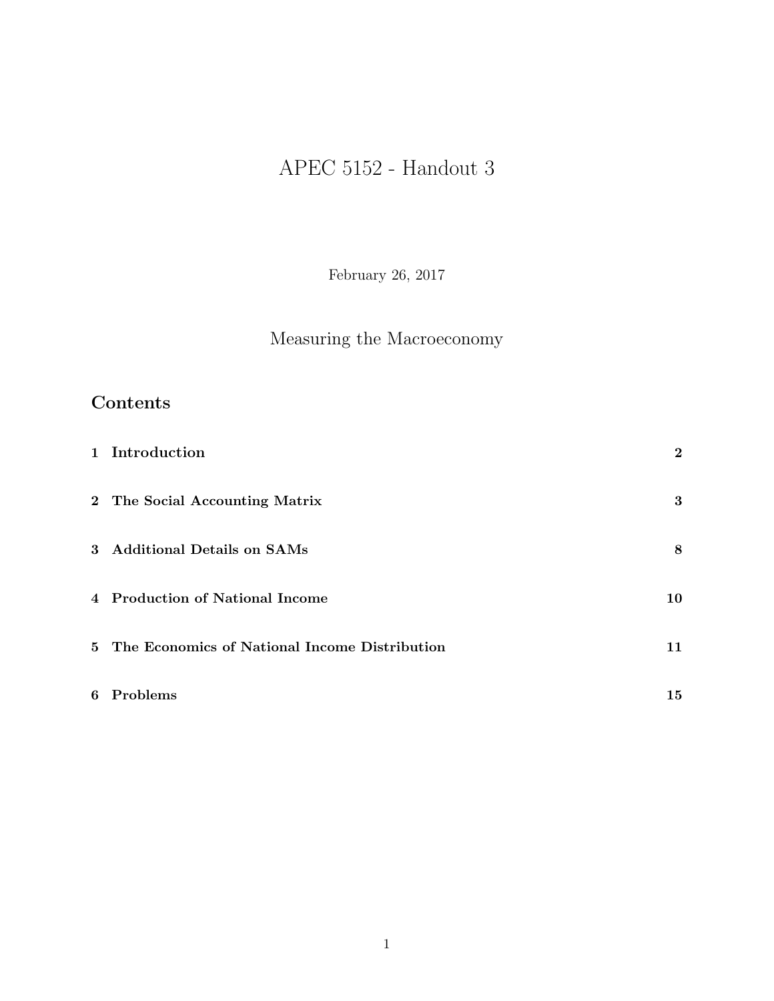# APEC 5152 - Handout 3

February 26, 2017

## Measuring the Macroeconomy

## Contents

| 1 Introduction                                  | $\bf{2}$ |
|-------------------------------------------------|----------|
| 2 The Social Accounting Matrix                  | 3        |
| 3 Additional Details on SAMs                    | 8        |
| 4 Production of National Income                 | 10       |
| 5 The Economics of National Income Distribution | 11       |
| 6 Problems                                      | 15       |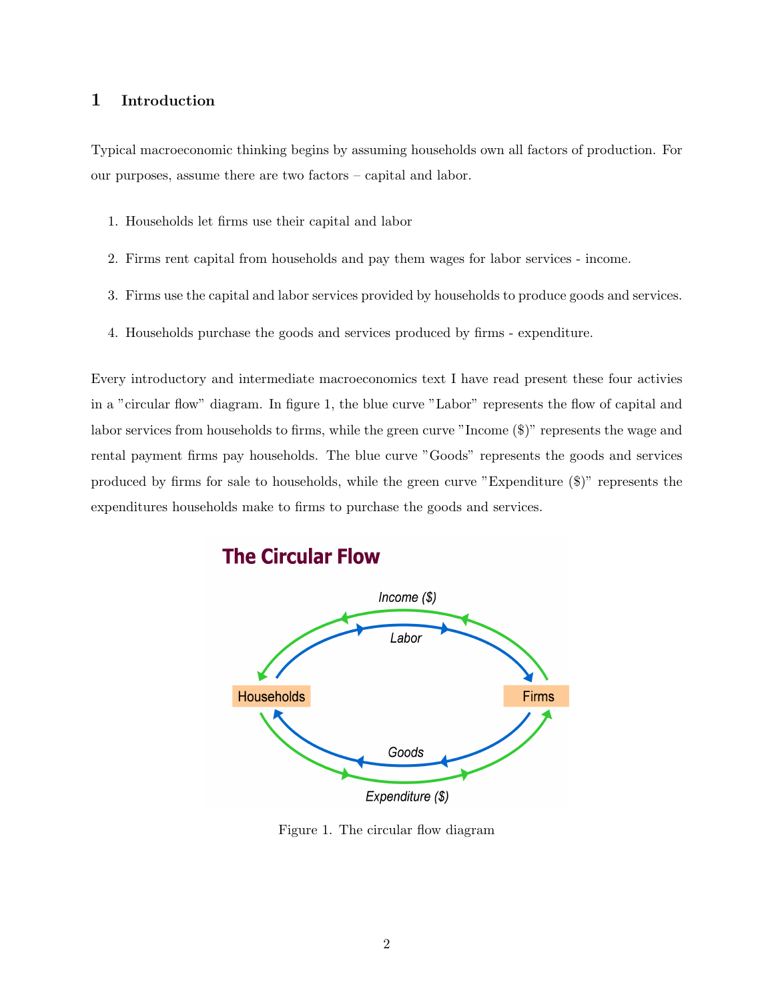#### 1 Introduction

Typical macroeconomic thinking begins by assuming households own all factors of production. For our purposes, assume there are two factors – capital and labor.

- 1. Households let firms use their capital and labor
- 2. Firms rent capital from households and pay them wages for labor services income.
- 3. Firms use the capital and labor services provided by households to produce goods and services.
- 4. Households purchase the goods and services produced by firms expenditure.

Every introductory and intermediate macroeconomics text I have read present these four activies in a "circular flow" diagram. In figure 1, the blue curve "Labor" represents the flow of capital and labor services from households to firms, while the green curve "Income (\$)" represents the wage and rental payment firms pay households. The blue curve "Goods" represents the goods and services produced by firms for sale to households, while the green curve "Expenditure (\$)" represents the expenditures households make to firms to purchase the goods and services.



## **The Circular Flow**

Figure 1. The circular flow diagram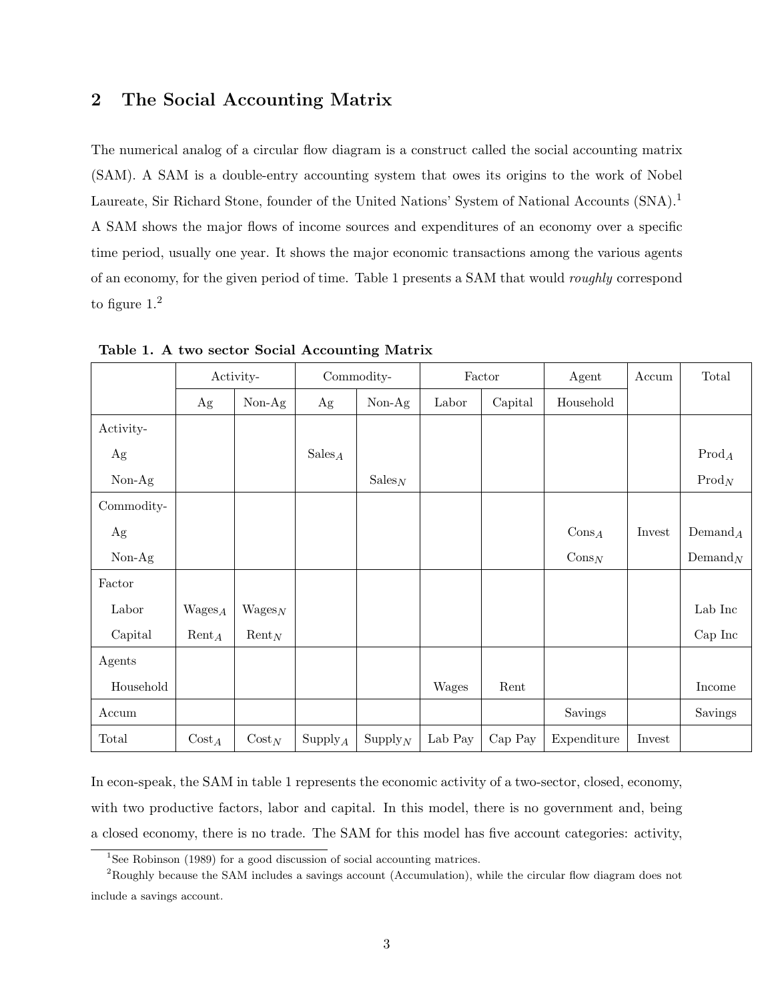## 2 The Social Accounting Matrix

The numerical analog of a circular flow diagram is a construct called the social accounting matrix (SAM). A SAM is a double-entry accounting system that owes its origins to the work of Nobel Laureate, Sir Richard Stone, founder of the United Nations' System of National Accounts (SNA).<sup>1</sup> A SAM shows the major flows of income sources and expenditures of an economy over a specific time period, usually one year. It shows the major economic transactions among the various agents of an economy, for the given period of time. Table 1 presents a SAM that would roughly correspond to figure 1.<sup>2</sup>

|            | Activity-         |                    | Commodity-               |                          |         | Factor  | Agent             | Accum  | Total             |
|------------|-------------------|--------------------|--------------------------|--------------------------|---------|---------|-------------------|--------|-------------------|
|            | Ag                | $Non-Ag$           | Ag                       | $Non-Ag$                 | Labor   | Capital | Household         |        |                   |
| Activity-  |                   |                    |                          |                          |         |         |                   |        |                   |
| Ag         |                   |                    | $\operatorname{Sales}_A$ |                          |         |         |                   |        | $\mathrm{Prod}_A$ |
| $Non-Ag$   |                   |                    |                          | $\operatorname{Sales}_N$ |         |         |                   |        | $\mathrm{Prod}_N$ |
| Commodity- |                   |                    |                          |                          |         |         |                   |        |                   |
| Ag         |                   |                    |                          |                          |         |         | $Cons_A$          | Invest | $Demand_A$        |
| $Non-Ag$   |                   |                    |                          |                          |         |         | $\mathrm{Cons}_N$ |        | $Demand_N$        |
| Factor     |                   |                    |                          |                          |         |         |                   |        |                   |
| Labor      | $Wages_A$         | $\mathrm{Wages}_N$ |                          |                          |         |         |                   |        | Lab Inc           |
| Capital    | $\mathrm{Rent}_A$ | $\mathrm{Rent}_N$  |                          |                          |         |         |                   |        | Cap Inc           |
| Agents     |                   |                    |                          |                          |         |         |                   |        |                   |
| Household  |                   |                    |                          |                          | Wages   | Rent    |                   |        | Income            |
| Accum      |                   |                    |                          |                          |         |         | Savings           |        | Savings           |
| Total      | $\mathrm{Cost}_A$ | $Cost_N$           | $\mathrm{Supply}_A$      | $\mathrm{Supply}_{N}$    | Lab Pay | Cap Pay | Expenditure       | Invest |                   |

Table 1. A two sector Social Accounting Matrix

In econ-speak, the SAM in table 1 represents the economic activity of a two-sector, closed, economy, with two productive factors, labor and capital. In this model, there is no government and, being a closed economy, there is no trade. The SAM for this model has five account categories: activity,

<sup>&</sup>lt;sup>1</sup>See Robinson (1989) for a good discussion of social accounting matrices.

<sup>2</sup>Roughly because the SAM includes a savings account (Accumulation), while the circular flow diagram does not include a savings account.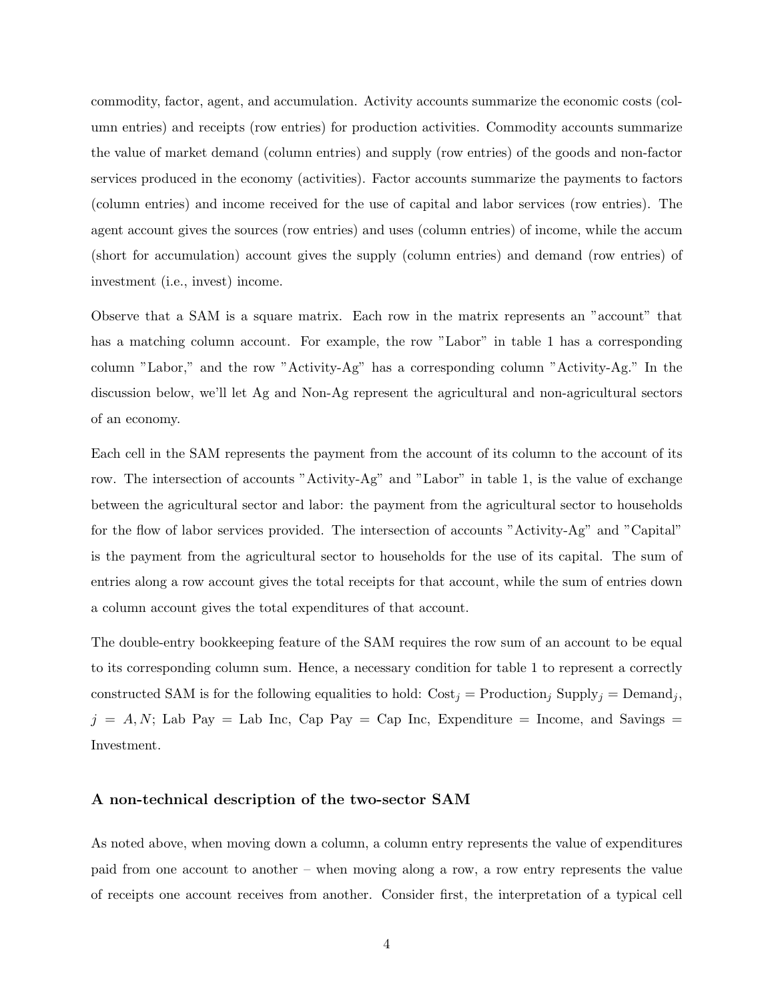commodity, factor, agent, and accumulation. Activity accounts summarize the economic costs (column entries) and receipts (row entries) for production activities. Commodity accounts summarize the value of market demand (column entries) and supply (row entries) of the goods and non-factor services produced in the economy (activities). Factor accounts summarize the payments to factors (column entries) and income received for the use of capital and labor services (row entries). The agent account gives the sources (row entries) and uses (column entries) of income, while the accum (short for accumulation) account gives the supply (column entries) and demand (row entries) of investment (i.e., invest) income.

Observe that a SAM is a square matrix. Each row in the matrix represents an "account" that has a matching column account. For example, the row "Labor" in table 1 has a corresponding column "Labor," and the row "Activity-Ag" has a corresponding column "Activity-Ag." In the discussion below, we'll let Ag and Non-Ag represent the agricultural and non-agricultural sectors of an economy.

Each cell in the SAM represents the payment from the account of its column to the account of its row. The intersection of accounts "Activity-Ag" and "Labor" in table 1, is the value of exchange between the agricultural sector and labor: the payment from the agricultural sector to households for the flow of labor services provided. The intersection of accounts "Activity-Ag" and "Capital" is the payment from the agricultural sector to households for the use of its capital. The sum of entries along a row account gives the total receipts for that account, while the sum of entries down a column account gives the total expenditures of that account.

The double-entry bookkeeping feature of the SAM requires the row sum of an account to be equal to its corresponding column sum. Hence, a necessary condition for table 1 to represent a correctly constructed SAM is for the following equalities to hold:  $Cost_j = Production_j$  Supply $_j = Demon_j$ ,  $j = A, N$ ; Lab Pay = Lab Inc, Cap Pay = Cap Inc, Expenditure = Income, and Savings = Investment.

#### A non-technical description of the two-sector SAM

As noted above, when moving down a column, a column entry represents the value of expenditures paid from one account to another – when moving along a row, a row entry represents the value of receipts one account receives from another. Consider first, the interpretation of a typical cell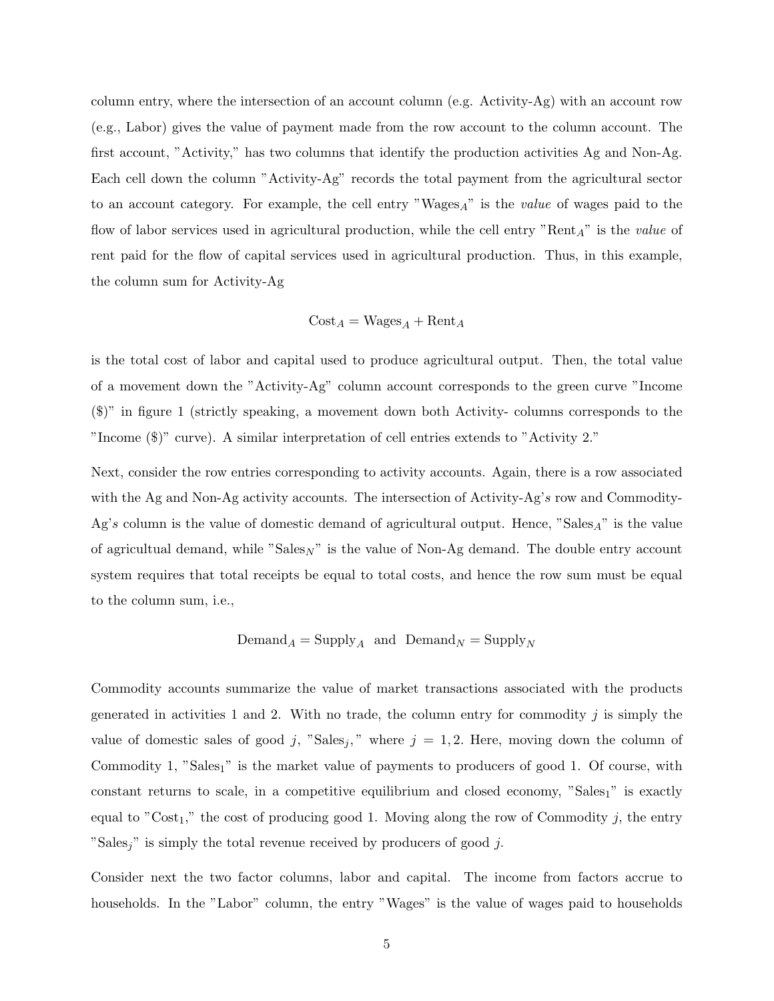column entry, where the intersection of an account column (e.g. Activity-Ag) with an account row (e.g., Labor) gives the value of payment made from the row account to the column account. The first account, "Activity," has two columns that identify the production activities Ag and Non-Ag. Each cell down the column "Activity-Ag" records the total payment from the agricultural sector to an account category. For example, the cell entry "Wages $_A$ " is the *value* of wages paid to the flow of labor services used in agricultural production, while the cell entry " $Rent_A$ " is the value of rent paid for the flow of capital services used in agricultural production. Thus, in this example, the column sum for Activity-Ag

$$
Cost_A = Wages_A + \text{Rent}_A
$$

is the total cost of labor and capital used to produce agricultural output. Then, the total value of a movement down the "Activity-Ag" column account corresponds to the green curve "Income (\$)" in figure 1 (strictly speaking, a movement down both Activity- columns corresponds to the "Income (\$)" curve). A similar interpretation of cell entries extends to "Activity 2."

Next, consider the row entries corresponding to activity accounts. Again, there is a row associated with the Ag and Non-Ag activity accounts. The intersection of Activity-Ag's row and Commodity-Ag's column is the value of domestic demand of agricultural output. Hence, "Sales<sub>A</sub>" is the value of agricultual demand, while "Sales<sub>N</sub>" is the value of Non-Ag demand. The double entry account system requires that total receipts be equal to total costs, and hence the row sum must be equal to the column sum, i.e.,

### $\text{Demand}_A = \text{Supply}_A$  and  $\text{Demand}_N = \text{Supply}_N$

Commodity accounts summarize the value of market transactions associated with the products generated in activities 1 and 2. With no trade, the column entry for commodity  $j$  is simply the value of domestic sales of good j, "Sales<sub>j</sub>," where  $j = 1, 2$ . Here, moving down the column of Commodity 1, "Sales<sub>1</sub>" is the market value of payments to producers of good 1. Of course, with constant returns to scale, in a competitive equilibrium and closed economy, "Sales $_1$ " is exactly equal to " $Cost_1$ ," the cost of producing good 1. Moving along the row of Commodity j, the entry "Sales<sub>i</sub>" is simply the total revenue received by producers of good j.

Consider next the two factor columns, labor and capital. The income from factors accrue to households. In the "Labor" column, the entry "Wages" is the value of wages paid to households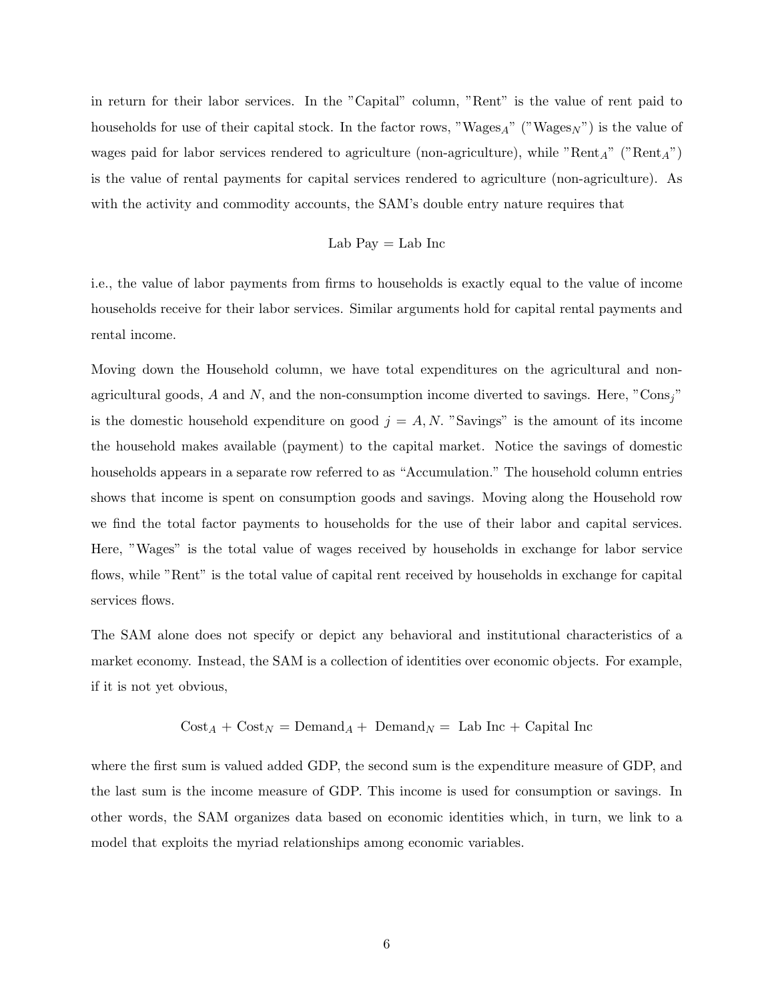in return for their labor services. In the "Capital" column, "Rent" is the value of rent paid to households for use of their capital stock. In the factor rows, "Wages<sub>A</sub>" ("Wages<sub>N</sub>") is the value of wages paid for labor services rendered to agriculture (non-agriculture), while " $Rent_A$ " (" $Rent_A$ ") is the value of rental payments for capital services rendered to agriculture (non-agriculture). As with the activity and commodity accounts, the SAM's double entry nature requires that

$$
Lab\ Pay = Lab\ Inc
$$

i.e., the value of labor payments from firms to households is exactly equal to the value of income households receive for their labor services. Similar arguments hold for capital rental payments and rental income.

Moving down the Household column, we have total expenditures on the agricultural and nonagricultural goods, A and N, and the non-consumption income diverted to savings. Here, "Cons<sub>j</sub>" is the domestic household expenditure on good  $j = A, N$ . "Savings" is the amount of its income the household makes available (payment) to the capital market. Notice the savings of domestic households appears in a separate row referred to as "Accumulation." The household column entries shows that income is spent on consumption goods and savings. Moving along the Household row we find the total factor payments to households for the use of their labor and capital services. Here, "Wages" is the total value of wages received by households in exchange for labor service flows, while "Rent" is the total value of capital rent received by households in exchange for capital services flows.

The SAM alone does not specify or depict any behavioral and institutional characteristics of a market economy. Instead, the SAM is a collection of identities over economic objects. For example, if it is not yet obvious,

$$
Cost_A + Cost_N = Demand_A + Demand_N = Lab Inc + Capital Inc
$$

where the first sum is valued added GDP, the second sum is the expenditure measure of GDP, and the last sum is the income measure of GDP. This income is used for consumption or savings. In other words, the SAM organizes data based on economic identities which, in turn, we link to a model that exploits the myriad relationships among economic variables.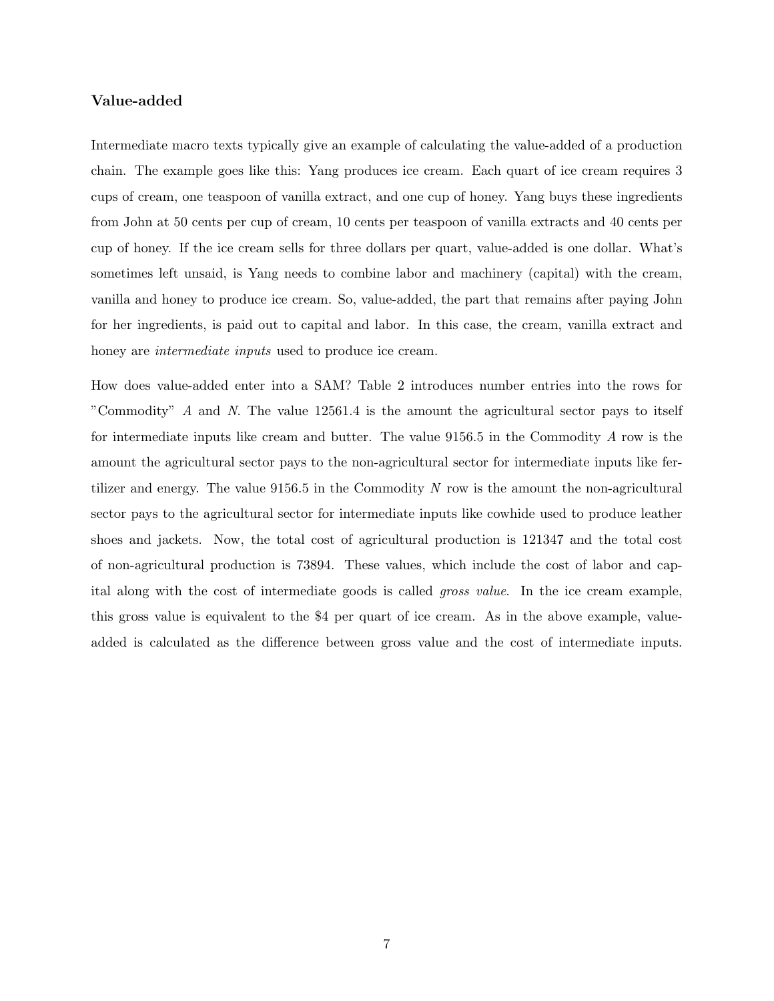#### Value-added

Intermediate macro texts typically give an example of calculating the value-added of a production chain. The example goes like this: Yang produces ice cream. Each quart of ice cream requires 3 cups of cream, one teaspoon of vanilla extract, and one cup of honey. Yang buys these ingredients from John at 50 cents per cup of cream, 10 cents per teaspoon of vanilla extracts and 40 cents per cup of honey. If the ice cream sells for three dollars per quart, value-added is one dollar. What's sometimes left unsaid, is Yang needs to combine labor and machinery (capital) with the cream, vanilla and honey to produce ice cream. So, value-added, the part that remains after paying John for her ingredients, is paid out to capital and labor. In this case, the cream, vanilla extract and honey are *intermediate inputs* used to produce ice cream.

How does value-added enter into a SAM? Table 2 introduces number entries into the rows for "Commodity" A and N. The value 12561.4 is the amount the agricultural sector pays to itself for intermediate inputs like cream and butter. The value 9156.5 in the Commodity A row is the amount the agricultural sector pays to the non-agricultural sector for intermediate inputs like fertilizer and energy. The value  $9156.5$  in the Commodity N row is the amount the non-agricultural sector pays to the agricultural sector for intermediate inputs like cowhide used to produce leather shoes and jackets. Now, the total cost of agricultural production is 121347 and the total cost of non-agricultural production is 73894. These values, which include the cost of labor and capital along with the cost of intermediate goods is called gross value. In the ice cream example, this gross value is equivalent to the \$4 per quart of ice cream. As in the above example, valueadded is calculated as the difference between gross value and the cost of intermediate inputs.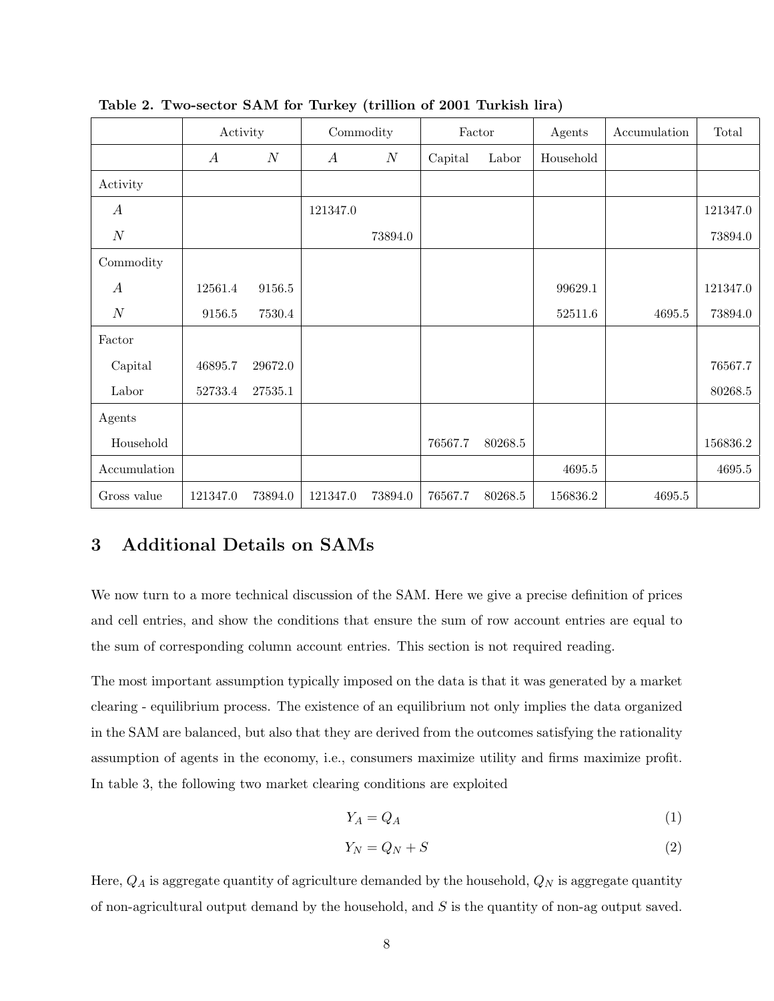|                  | Activity         |                  | Commodity        |         | Factor  |         | Agents      | Accumulation | Total      |
|------------------|------------------|------------------|------------------|---------|---------|---------|-------------|--------------|------------|
|                  | $\boldsymbol{A}$ | $\boldsymbol{N}$ | $\boldsymbol{A}$ | N       | Capital | Labor   | Household   |              |            |
| Activity         |                  |                  |                  |         |         |         |             |              |            |
| $\boldsymbol{A}$ |                  |                  | 121347.0         |         |         |         |             |              | 121347.0   |
| $\cal N$         |                  |                  |                  | 73894.0 |         |         |             |              | 73894.0    |
| Commodity        |                  |                  |                  |         |         |         |             |              |            |
| $\boldsymbol{A}$ | 12561.4          | 9156.5           |                  |         |         |         | 99629.1     |              | 121347.0   |
| $\boldsymbol{N}$ | $9156.5\,$       | 7530.4           |                  |         |         |         | $52511.6\,$ | 4695.5       | 73894.0    |
| Factor           |                  |                  |                  |         |         |         |             |              |            |
| Capital          | 46895.7          | 29672.0          |                  |         |         |         |             |              | 76567.7    |
| Labor            | 52733.4          | 27535.1          |                  |         |         |         |             |              | 80268.5    |
| Agents           |                  |                  |                  |         |         |         |             |              |            |
| Household        |                  |                  |                  |         | 76567.7 | 80268.5 |             |              | 156836.2   |
| Accumulation     |                  |                  |                  |         |         |         | 4695.5      |              | $4695.5\,$ |
| Gross value      | 121347.0         | 73894.0          | 121347.0         | 73894.0 | 76567.7 | 80268.5 | 156836.2    | 4695.5       |            |

Table 2. Two-sector SAM for Turkey (trillion of 2001 Turkish lira)

## 3 Additional Details on SAMs

We now turn to a more technical discussion of the SAM. Here we give a precise definition of prices and cell entries, and show the conditions that ensure the sum of row account entries are equal to the sum of corresponding column account entries. This section is not required reading.

The most important assumption typically imposed on the data is that it was generated by a market clearing - equilibrium process. The existence of an equilibrium not only implies the data organized in the SAM are balanced, but also that they are derived from the outcomes satisfying the rationality assumption of agents in the economy, i.e., consumers maximize utility and firms maximize profit. In table 3, the following two market clearing conditions are exploited

$$
Y_A = Q_A \tag{1}
$$

$$
Y_N = Q_N + S \tag{2}
$$

Here,  $Q_A$  is aggregate quantity of agriculture demanded by the household,  $Q_N$  is aggregate quantity of non-agricultural output demand by the household, and S is the quantity of non-ag output saved.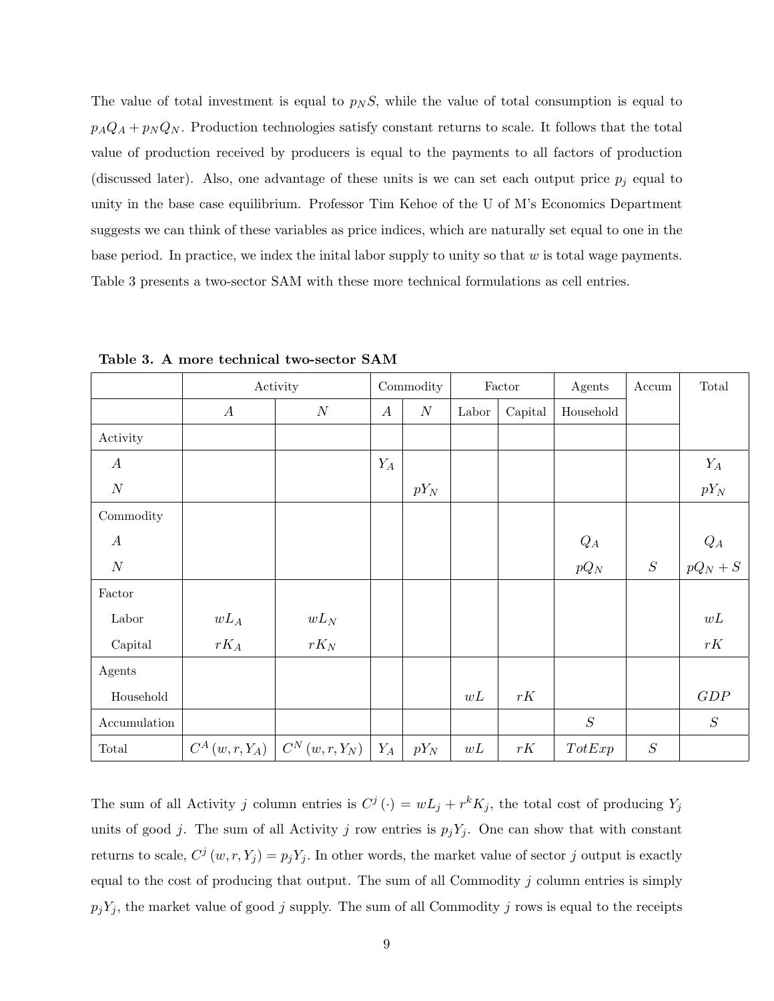The value of total investment is equal to  $p_N S$ , while the value of total consumption is equal to  $p_A Q_A + p_N Q_N$ . Production technologies satisfy constant returns to scale. It follows that the total value of production received by producers is equal to the payments to all factors of production (discussed later). Also, one advantage of these units is we can set each output price  $p_i$  equal to unity in the base case equilibrium. Professor Tim Kehoe of the U of M's Economics Department suggests we can think of these variables as price indices, which are naturally set equal to one in the base period. In practice, we index the initial labor supply to unity so that  $w$  is total wage payments. Table 3 presents a two-sector SAM with these more technical formulations as cell entries.

|                         |                  | Activity                       |                  | $\operatorname{Commodity}$ |       | Factor  | Agents    | Accum    | Total                                                      |
|-------------------------|------------------|--------------------------------|------------------|----------------------------|-------|---------|-----------|----------|------------------------------------------------------------|
|                         | $\boldsymbol{A}$ | $\boldsymbol{N}$               | $\boldsymbol{A}$ | $\cal N$                   | Labor | Capital | Household |          |                                                            |
| Activity                |                  |                                |                  |                            |       |         |           |          |                                                            |
| $\boldsymbol{A}$        |                  |                                | $Y_A$            |                            |       |         |           |          | $Y_A$                                                      |
| $\boldsymbol{N}$        |                  |                                |                  | $pY_N$                     |       |         |           |          | $pY_N$                                                     |
| Commodity               |                  |                                |                  |                            |       |         |           |          |                                                            |
| $\boldsymbol{A}$        |                  |                                |                  |                            |       |         | $Q_A$     |          |                                                            |
| $\cal N$                |                  |                                |                  |                            |       |         | $pQ_N$    | S        | $\label{eq:Q} \begin{aligned} Q_A \\ pQ_N+S \end{aligned}$ |
| $\operatorname{Factor}$ |                  |                                |                  |                            |       |         |           |          |                                                            |
| Labor                   | $wL_A$           | $wL_N$                         |                  |                            |       |         |           |          | wL                                                         |
| Capital                 | $rK_A$           | $rK_N$                         |                  |                            |       |         |           |          | rK                                                         |
| Agents                  |                  |                                |                  |                            |       |         |           |          |                                                            |
| Household               |                  |                                |                  |                            | wL    | rK      |           |          | GDP                                                        |
| Accumulation            |                  |                                |                  |                            |       |         | $\cal S$  |          | $\cal S$                                                   |
| Total                   | $C^A(w,r,Y_A)$   | $C^{N}\left( w,r,Y_{N}\right)$ | $Y_A$            | $pY_N$                     | wL    | rK      | TotExp    | $\cal S$ |                                                            |

Table 3. A more technical two-sector SAM

The sum of all Activity j column entries is  $C^j(\cdot) = wL_j + r^k K_j$ , the total cost of producing  $Y_j$ units of good j. The sum of all Activity j row entries is  $p_jY_j$ . One can show that with constant returns to scale,  $C^j(w, r, Y_j) = p_j Y_j$ . In other words, the market value of sector j output is exactly equal to the cost of producing that output. The sum of all Commodity  $j$  column entries is simply  $p_jY_j$ , the market value of good j supply. The sum of all Commodity j rows is equal to the receipts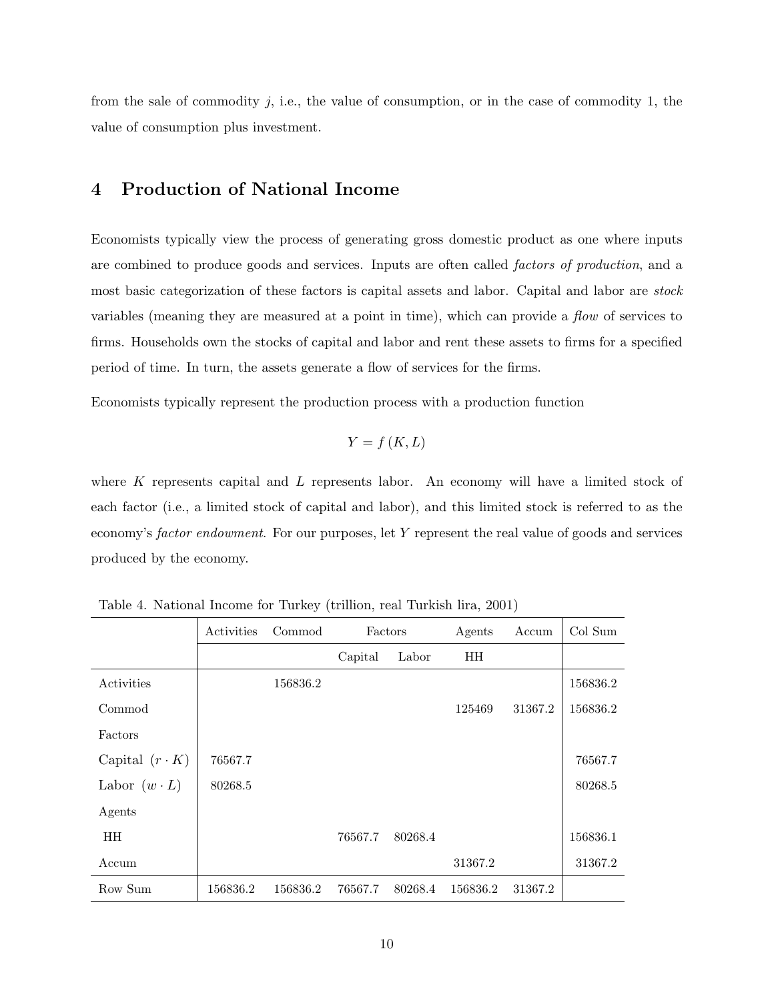from the sale of commodity  $j$ , i.e., the value of consumption, or in the case of commodity 1, the value of consumption plus investment.

## 4 Production of National Income

Economists typically view the process of generating gross domestic product as one where inputs are combined to produce goods and services. Inputs are often called *factors of production*, and a most basic categorization of these factors is capital assets and labor. Capital and labor are stock variables (meaning they are measured at a point in time), which can provide a flow of services to firms. Households own the stocks of capital and labor and rent these assets to firms for a specified period of time. In turn, the assets generate a flow of services for the firms.

Economists typically represent the production process with a production function

$$
Y = f(K, L)
$$

where  $K$  represents capital and  $L$  represents labor. An economy will have a limited stock of each factor (i.e., a limited stock of capital and labor), and this limited stock is referred to as the economy's factor endowment. For our purposes, let Y represent the real value of goods and services produced by the economy.

|                       | Activities | Commod   | Factors |         | Agents    | Accum   | Col Sum  |
|-----------------------|------------|----------|---------|---------|-----------|---------|----------|
|                       |            |          | Capital | Labor   | <b>HH</b> |         |          |
| Activities            |            | 156836.2 |         |         |           |         | 156836.2 |
| Commod                |            |          |         |         | 125469    | 31367.2 | 156836.2 |
| Factors               |            |          |         |         |           |         |          |
| Capital $(r \cdot K)$ | 76567.7    |          |         |         |           |         | 76567.7  |
| Labor $(w \cdot L)$   | 80268.5    |          |         |         |           |         | 80268.5  |
| Agents                |            |          |         |         |           |         |          |
| HH.                   |            |          | 76567.7 | 80268.4 |           |         | 156836.1 |
| Accum                 |            |          |         |         | 31367.2   |         | 31367.2  |
| Row Sum               | 156836.2   | 156836.2 | 76567.7 | 80268.4 | 156836.2  | 31367.2 |          |

Table 4. National Income for Turkey (trillion, real Turkish lira, 2001)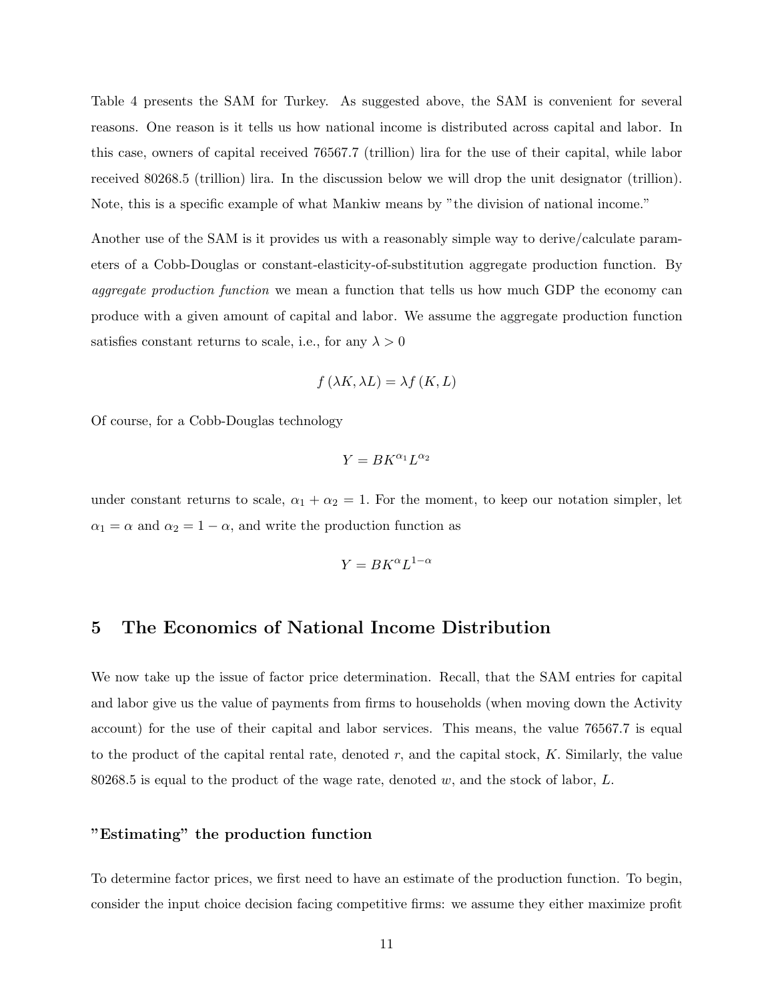Table 4 presents the SAM for Turkey. As suggested above, the SAM is convenient for several reasons. One reason is it tells us how national income is distributed across capital and labor. In this case, owners of capital received 76567.7 (trillion) lira for the use of their capital, while labor received 80268.5 (trillion) lira. In the discussion below we will drop the unit designator (trillion). Note, this is a specific example of what Mankiw means by "the division of national income."

Another use of the SAM is it provides us with a reasonably simple way to derive/calculate parameters of a Cobb-Douglas or constant-elasticity-of-substitution aggregate production function. By aggregate production function we mean a function that tells us how much GDP the economy can produce with a given amount of capital and labor. We assume the aggregate production function satisfies constant returns to scale, i.e., for any  $\lambda > 0$ 

$$
f(\lambda K, \lambda L) = \lambda f(K, L)
$$

Of course, for a Cobb-Douglas technology

$$
Y= BK^{\alpha_1}L^{\alpha_2}
$$

under constant returns to scale,  $\alpha_1 + \alpha_2 = 1$ . For the moment, to keep our notation simpler, let  $\alpha_1 = \alpha$  and  $\alpha_2 = 1 - \alpha$ , and write the production function as

$$
Y = BK^\alpha L^{1-\alpha}
$$

### 5 The Economics of National Income Distribution

We now take up the issue of factor price determination. Recall, that the SAM entries for capital and labor give us the value of payments from firms to households (when moving down the Activity account) for the use of their capital and labor services. This means, the value 76567.7 is equal to the product of the capital rental rate, denoted  $r$ , and the capital stock,  $K$ . Similarly, the value 80268.5 is equal to the product of the wage rate, denoted w, and the stock of labor,  $L$ .

## "Estimating" the production function

To determine factor prices, we first need to have an estimate of the production function. To begin, consider the input choice decision facing competitive firms: we assume they either maximize profit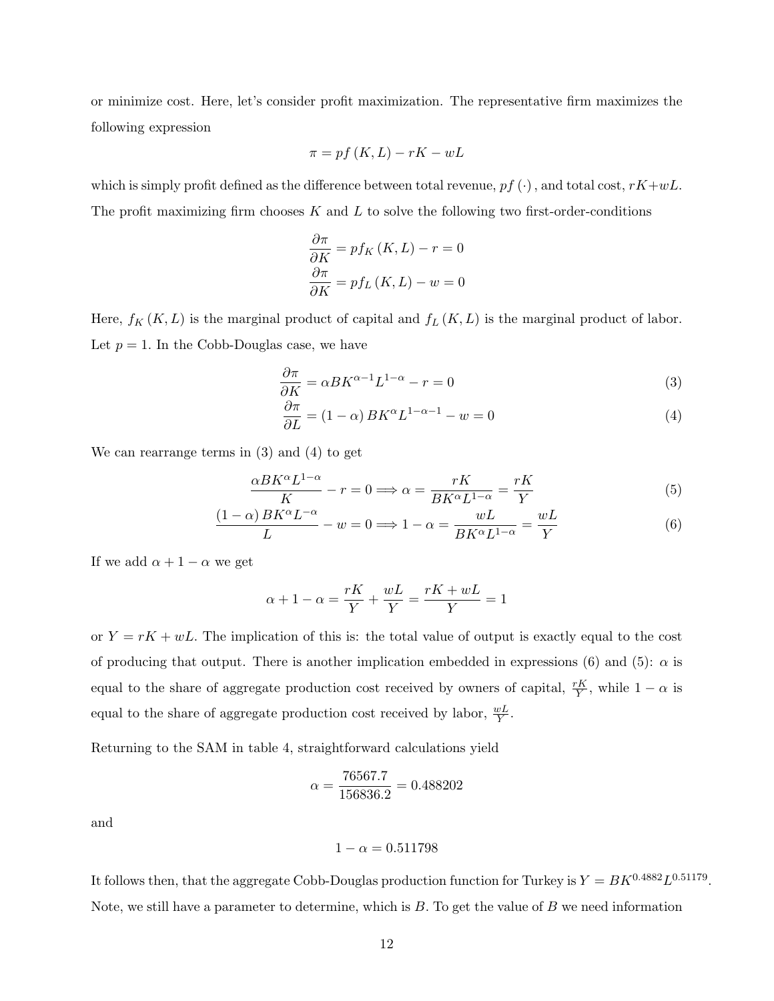or minimize cost. Here, let's consider profit maximization. The representative firm maximizes the following expression

$$
\pi = pf(K, L) - rK - wL
$$

which is simply profit defined as the difference between total revenue,  $pf(\cdot)$ , and total cost,  $rK+wL$ . The profit maximizing firm chooses  $K$  and  $L$  to solve the following two first-order-conditions

$$
\frac{\partial \pi}{\partial K} = pf_K(K, L) - r = 0
$$

$$
\frac{\partial \pi}{\partial K} = pf_L(K, L) - w = 0
$$

Here,  $f_K(K, L)$  is the marginal product of capital and  $f_L(K, L)$  is the marginal product of labor. Let  $p = 1$ . In the Cobb-Douglas case, we have

$$
\frac{\partial \pi}{\partial K} = \alpha B K^{\alpha - 1} L^{1 - \alpha} - r = 0 \tag{3}
$$

$$
\frac{\partial \pi}{\partial L} = (1 - \alpha) B K^{\alpha} L^{1 - \alpha - 1} - w = 0 \tag{4}
$$

We can rearrange terms in (3) and (4) to get

$$
\frac{\alpha BK^{\alpha} L^{1-\alpha}}{K} - r = 0 \Longrightarrow \alpha = \frac{rK}{BK^{\alpha}L^{1-\alpha}} = \frac{rK}{Y}
$$
(5)

$$
\frac{(1-\alpha)BK^{\alpha}L^{-\alpha}}{L} - w = 0 \Longrightarrow 1 - \alpha = \frac{wL}{BK^{\alpha}L^{1-\alpha}} = \frac{wL}{Y}
$$
(6)

If we add  $\alpha + 1 - \alpha$  we get

$$
\alpha + 1 - \alpha = \frac{rK}{Y} + \frac{wL}{Y} = \frac{rK + wL}{Y} = 1
$$

or  $Y = rK + wL$ . The implication of this is: the total value of output is exactly equal to the cost of producing that output. There is another implication embedded in expressions (6) and (5):  $\alpha$  is equal to the share of aggregate production cost received by owners of capital,  $\frac{rK}{Y}$ , while  $1 - \alpha$  is equal to the share of aggregate production cost received by labor,  $\frac{wL}{Y}$ .

Returning to the SAM in table 4, straightforward calculations yield

$$
\alpha = \frac{76567.7}{156836.2} = 0.488202
$$

and

$$
1-\alpha=0.511798
$$

It follows then, that the aggregate Cobb-Douglas production function for Turkey is  $Y = BK^{0.4882}L^{0.51179}$ . Note, we still have a parameter to determine, which is  $B$ . To get the value of  $B$  we need information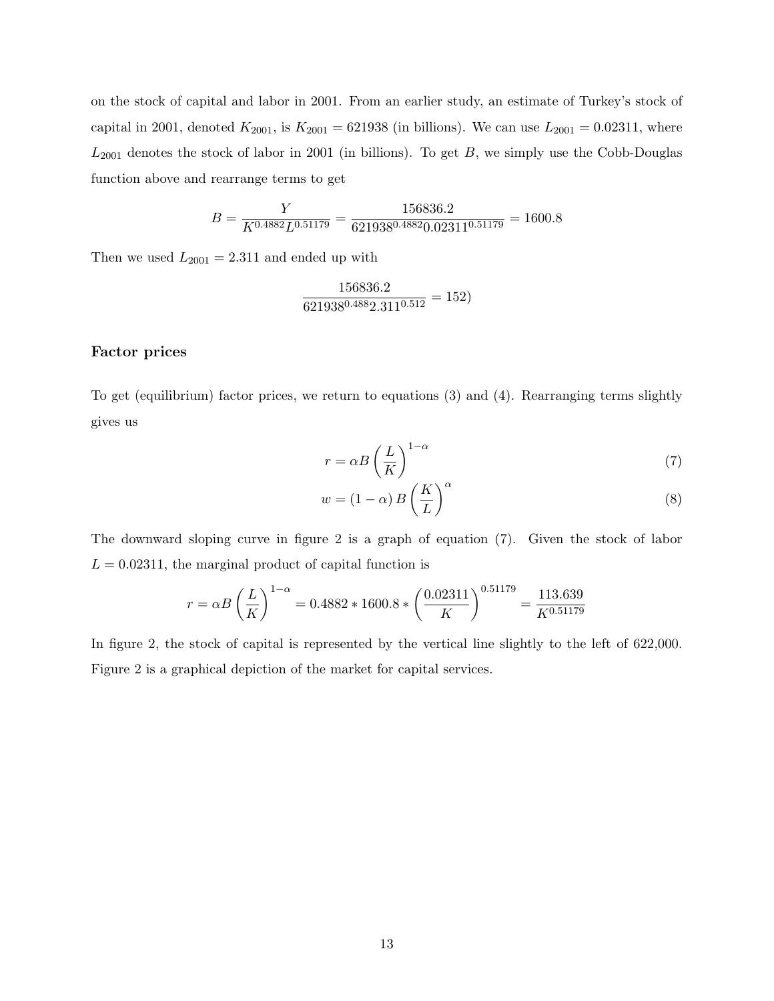on the stock of capital and labor in 2001. From an earlier study, an estimate of Turkey's stock of capital in 2001, denoted  $K_{2001}$ , is  $K_{2001} = 621938$  (in billions). We can use  $L_{2001} = 0.02311$ , where  $L_{2001}$  denotes the stock of labor in 2001 (in billions). To get  $B$ , we simply use the Cobb-Douglas function above and rearrange terms to get

$$
B = \frac{Y}{K^{0.4882}L^{0.51179}} = \frac{156836.2}{621938^{0.4882}0.02311^{0.51179}} = 1600.8
$$

Then we used  $L_{2001} = 2.311$  and ended up with

$$
\frac{156836.2}{621938^{0.488}2.311^{0.512}} = 152)
$$

#### Factor prices

To get (equilibrium) factor prices, we return to equations (3) and (4). Rearranging terms slightly gives us

$$
r = \alpha B \left(\frac{L}{K}\right)^{1-\alpha} \tag{7}
$$

$$
w = (1 - \alpha) B \left(\frac{K}{L}\right)^{\alpha} \tag{8}
$$

The downward sloping curve in figure 2 is a graph of equation (7). Given the stock of labor  $L = 0.02311$ , the marginal product of capital function is

$$
r = \alpha B \left(\frac{L}{K}\right)^{1-\alpha} = 0.4882 \times 1600.8 \times \left(\frac{0.02311}{K}\right)^{0.51179} = \frac{113.639}{K^{0.51179}}
$$

In figure 2, the stock of capital is represented by the vertical line slightly to the left of 622,000. Figure 2 is a graphical depiction of the market for capital services.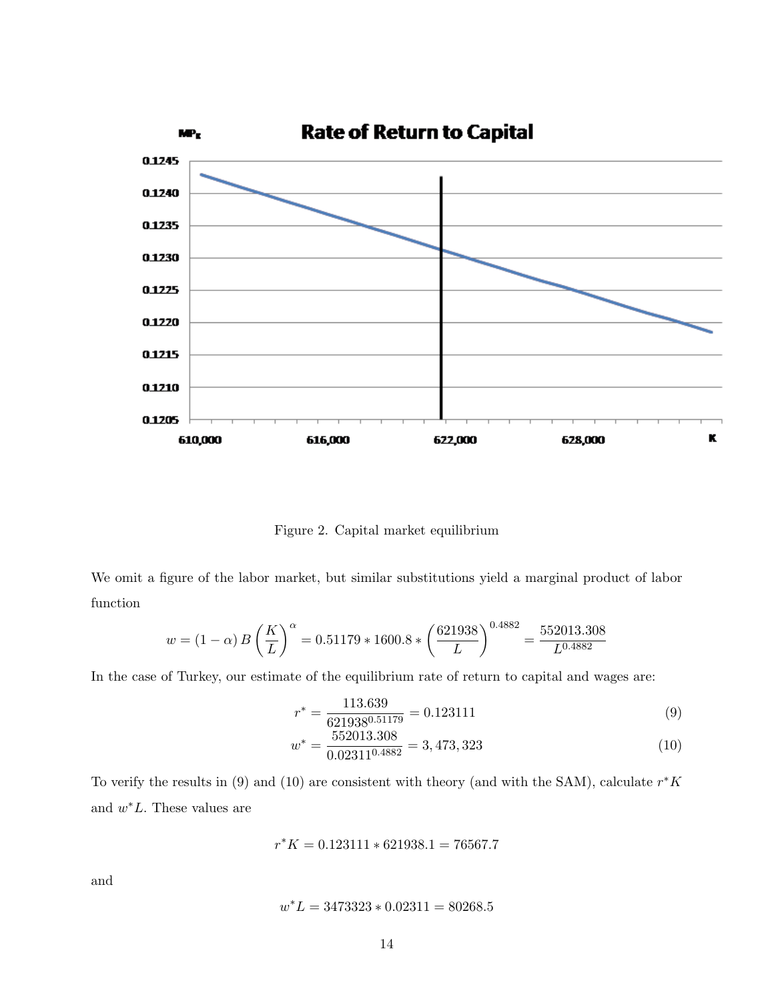

Figure 2. Capital market equilibrium

We omit a figure of the labor market, but similar substitutions yield a marginal product of labor function

$$
w = (1 - \alpha) B \left(\frac{K}{L}\right)^{\alpha} = 0.51179 \times 1600.8 \times \left(\frac{621938}{L}\right)^{0.4882} = \frac{552013.308}{L^{0.4882}}
$$

In the case of Turkey, our estimate of the equilibrium rate of return to capital and wages are:

$$
r^* = \frac{113.639}{621938^{0.51179}} = 0.123111
$$
\n(9)

$$
w^* = \frac{552013.308}{0.02311^{0.4882}} = 3,473,323\tag{10}
$$

To verify the results in (9) and (10) are consistent with theory (and with the SAM), calculate  $r^*K$ and  $w^*L$ . These values are

$$
r^*K = 0.123111 * 621938.1 = 76567.7
$$

and

$$
w^*L = 3473323 * 0.02311 = 80268.5
$$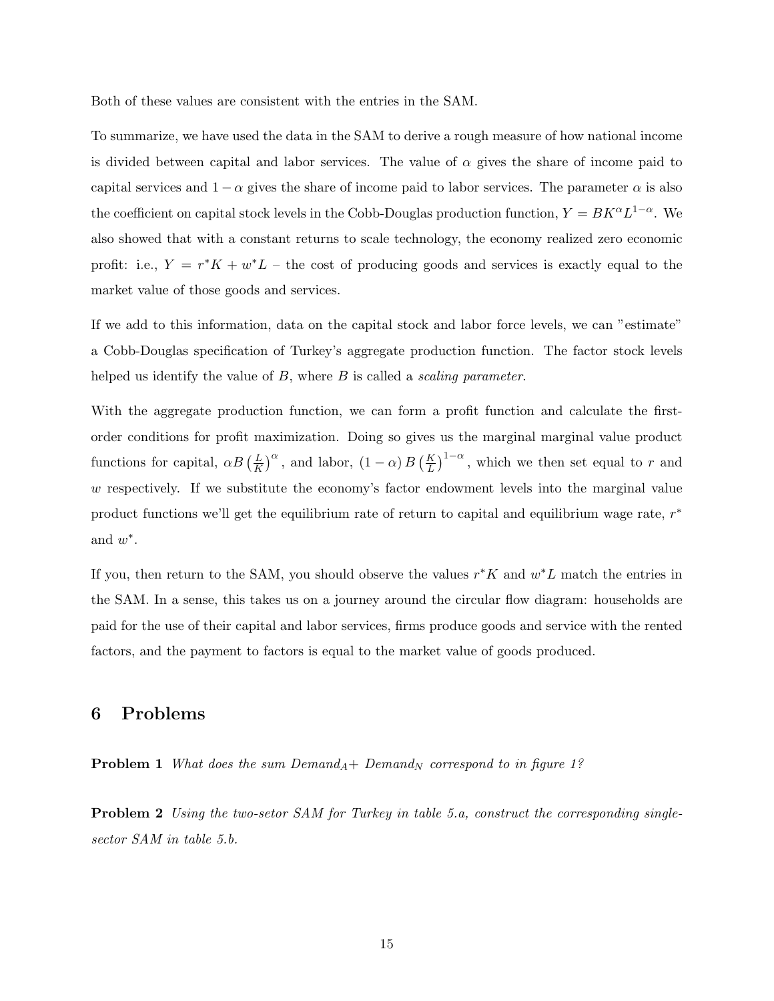Both of these values are consistent with the entries in the SAM.

To summarize, we have used the data in the SAM to derive a rough measure of how national income is divided between capital and labor services. The value of  $\alpha$  gives the share of income paid to capital services and  $1 - \alpha$  gives the share of income paid to labor services. The parameter  $\alpha$  is also the coefficient on capital stock levels in the Cobb-Douglas production function,  $Y = BK^{\alpha}L^{1-\alpha}$ . We also showed that with a constant returns to scale technology, the economy realized zero economic profit: i.e.,  $Y = r^*K + w^*L$  – the cost of producing goods and services is exactly equal to the market value of those goods and services.

If we add to this information, data on the capital stock and labor force levels, we can "estimate" a Cobb-Douglas specification of Turkey's aggregate production function. The factor stock levels helped us identify the value of  $B$ , where  $B$  is called a *scaling parameter*.

With the aggregate production function, we can form a profit function and calculate the firstorder conditions for profit maximization. Doing so gives us the marginal marginal value product functions for capital,  $\alpha B\left(\frac{L}{K}\right)$  $\frac{L}{K}$ )<sup> $\alpha$ </sup>, and labor,  $(1 - \alpha) B \left(\frac{K}{L}\right)^{1-\alpha}$ , which we then set equal to r and w respectively. If we substitute the economy's factor endowment levels into the marginal value product functions we'll get the equilibrium rate of return to capital and equilibrium wage rate,  $r^*$ and  $w^*$ .

If you, then return to the SAM, you should observe the values  $r$ <sup>\*</sup>K and  $w$ <sup>\*</sup>L match the entries in the SAM. In a sense, this takes us on a journey around the circular flow diagram: households are paid for the use of their capital and labor services, firms produce goods and service with the rented factors, and the payment to factors is equal to the market value of goods produced.

### 6 Problems

**Problem 1** What does the sum  $Demand_A+ Demand_N$  correspond to in figure 1?

**Problem 2** Using the two-setor SAM for Turkey in table 5.a, construct the corresponding singlesector SAM in table 5.b.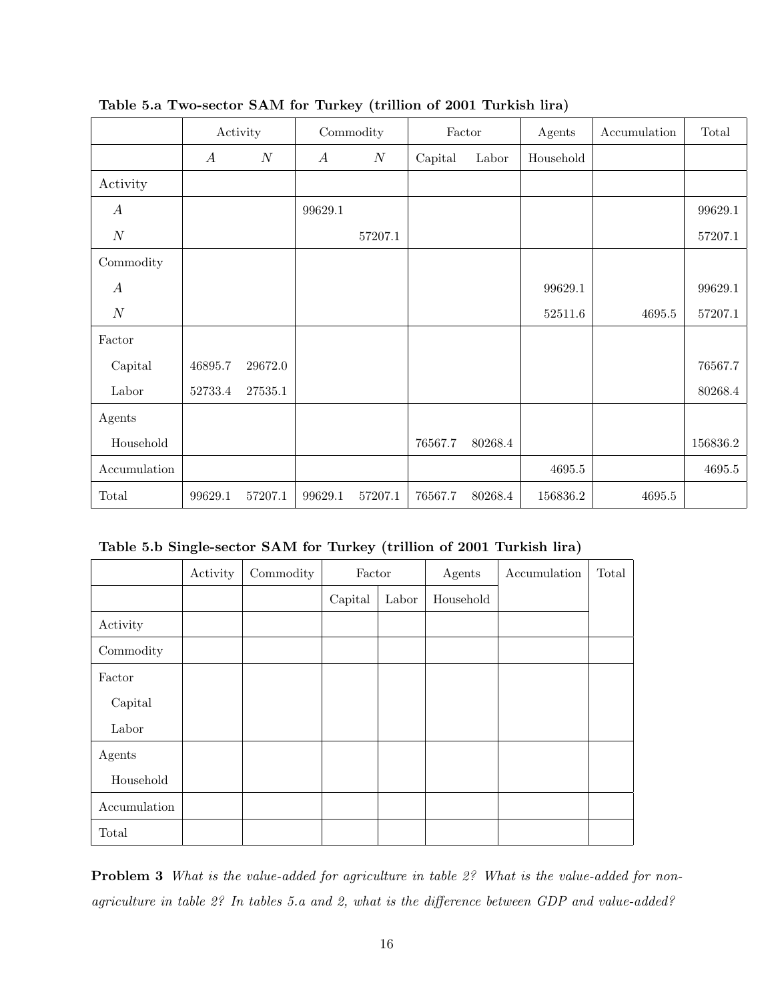|                  | Activity         |                  | Commodity        |                  | Factor  |         | Agents    | Accumulation | Total    |
|------------------|------------------|------------------|------------------|------------------|---------|---------|-----------|--------------|----------|
|                  | $\boldsymbol{A}$ | $\boldsymbol{N}$ | $\boldsymbol{A}$ | $\boldsymbol{N}$ | Capital | Labor   | Household |              |          |
| Activity         |                  |                  |                  |                  |         |         |           |              |          |
| $\boldsymbol{A}$ |                  |                  | 99629.1          |                  |         |         |           |              | 99629.1  |
| $\boldsymbol{N}$ |                  |                  |                  | 57207.1          |         |         |           |              | 57207.1  |
| Commodity        |                  |                  |                  |                  |         |         |           |              |          |
| $\boldsymbol{A}$ |                  |                  |                  |                  |         |         | 99629.1   |              | 99629.1  |
| $\cal N$         |                  |                  |                  |                  |         |         | 52511.6   | $4695.5\,$   | 57207.1  |
| Factor           |                  |                  |                  |                  |         |         |           |              |          |
| Capital          | 46895.7          | 29672.0          |                  |                  |         |         |           |              | 76567.7  |
| Labor            | 52733.4          | 27535.1          |                  |                  |         |         |           |              | 80268.4  |
| Agents           |                  |                  |                  |                  |         |         |           |              |          |
| Household        |                  |                  |                  |                  | 76567.7 | 80268.4 |           |              | 156836.2 |
| Accumulation     |                  |                  |                  |                  |         |         | 4695.5    |              | 4695.5   |
| Total            | 99629.1          | 57207.1          | 99629.1          | 57207.1          | 76567.7 | 80268.4 | 156836.2  | $4695.5\,$   |          |

Table 5.a Two-sector SAM for Turkey (trillion of 2001 Turkish lira)

Table 5.b Single-sector SAM for Turkey (trillion of 2001 Turkish lira)

|              | Activity | Commodity | Factor  |       | Agents    | Accumulation | Total |
|--------------|----------|-----------|---------|-------|-----------|--------------|-------|
|              |          |           | Capital | Labor | Household |              |       |
| Activity     |          |           |         |       |           |              |       |
| Commodity    |          |           |         |       |           |              |       |
| Factor       |          |           |         |       |           |              |       |
| Capital      |          |           |         |       |           |              |       |
| Labor        |          |           |         |       |           |              |       |
| Agents       |          |           |         |       |           |              |       |
| Household    |          |           |         |       |           |              |       |
| Accumulation |          |           |         |       |           |              |       |
| Total        |          |           |         |       |           |              |       |

Problem 3 What is the value-added for agriculture in table 2? What is the value-added for nonagriculture in table 2? In tables 5.a and 2, what is the difference between GDP and value-added?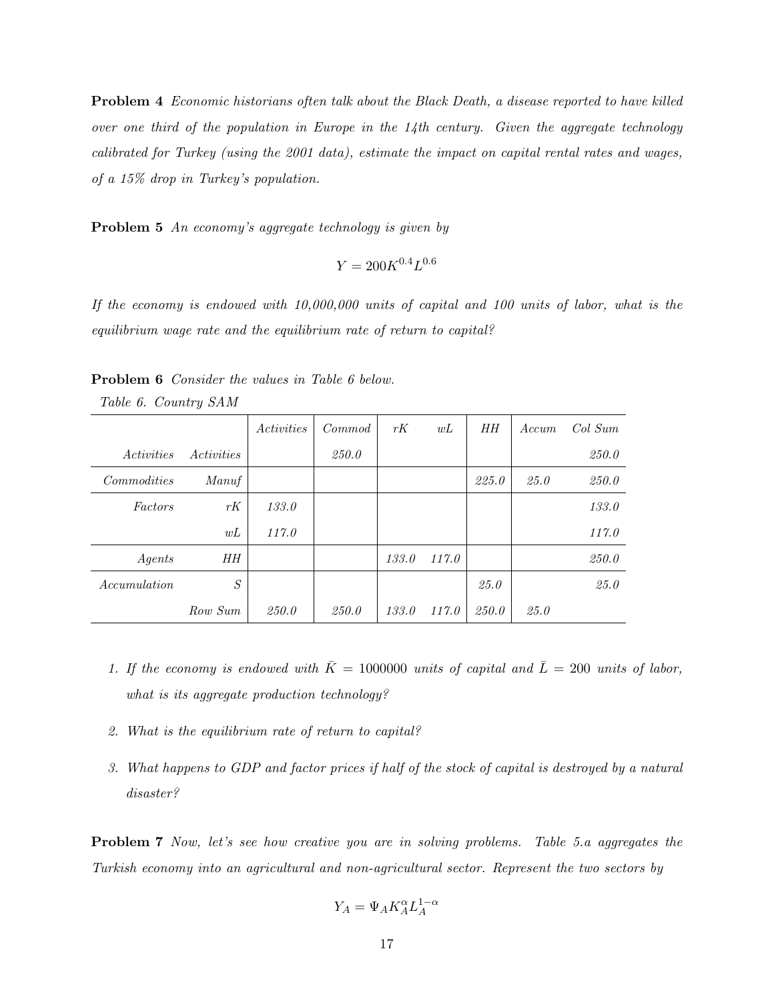Problem 4 Economic historians often talk about the Black Death, a disease reported to have killed over one third of the population in Europe in the  $14$ th century. Given the aggregate technology calibrated for Turkey (using the 2001 data), estimate the impact on capital rental rates and wages, of a 15% drop in Turkey's population.

Problem 5 An economy's aggregate technology is given by

$$
Y = 200 K^{0.4} L^{0.6}
$$

If the economy is endowed with 10,000,000 units of capital and 100 units of labor, what is the equilibrium wage rate and the equilibrium rate of return to capital?

|                          |                   | <i><u>Activities</u></i> | Commod | rK    | wL    | HН    | Accum | Col Sum      |
|--------------------------|-------------------|--------------------------|--------|-------|-------|-------|-------|--------------|
| <i><u>Activities</u></i> | <i>Activities</i> |                          | 250.0  |       |       |       |       | <i>250.0</i> |
| Commodities              | Manuf             |                          |        |       |       | 225.0 | 25.0  | 250.0        |
| Factors                  | rK                | 133.0                    |        |       |       |       |       | 133.0        |
|                          | wL                | 117.0                    |        |       |       |       |       | 117.0        |
| Agents                   | HН                |                          |        | 133.0 | 117.0 |       |       | 250.0        |
| <i>Accumulation</i>      | S                 |                          |        |       |       | 25.0  |       | 25.0         |
|                          | Row Sum           | 250.0                    | 250.0  | 133.0 | 117.0 | 250.0 | 25.0  |              |

Problem 6 Consider the values in Table 6 below.

Table 6. Country SAM

- 1. If the economy is endowed with  $\bar{K} = 1000000$  units of capital and  $\bar{L} = 200$  units of labor, what is its aggregate production technology?
- 2. What is the equilibrium rate of return to capital?
- 3. What happens to GDP and factor prices if half of the stock of capital is destroyed by a natural disaster?

Problem 7 Now, let's see how creative you are in solving problems. Table 5.a aggregates the Turkish economy into an agricultural and non-agricultural sector. Represent the two sectors by

$$
Y_A = \Psi_A K_A^\alpha L_A^{1-\alpha}
$$